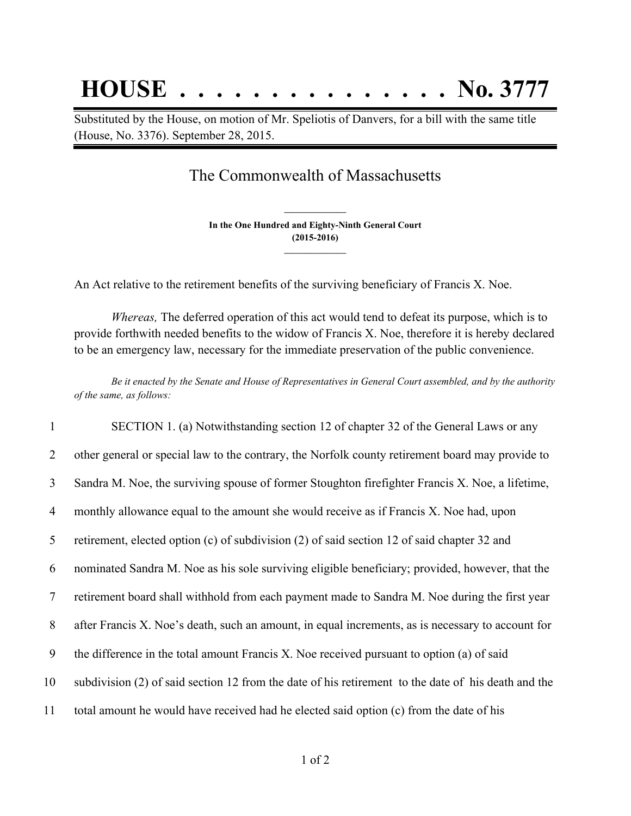## **HOUSE . . . . . . . . . . . . . . . No. 3777**

Substituted by the House, on motion of Mr. Speliotis of Danvers, for a bill with the same title (House, No. 3376). September 28, 2015.

## The Commonwealth of Massachusetts

**In the One Hundred and Eighty-Ninth General Court (2015-2016) \_\_\_\_\_\_\_\_\_\_\_\_\_\_\_**

**\_\_\_\_\_\_\_\_\_\_\_\_\_\_\_**

An Act relative to the retirement benefits of the surviving beneficiary of Francis X. Noe.

*Whereas,* The deferred operation of this act would tend to defeat its purpose, which is to provide forthwith needed benefits to the widow of Francis X. Noe, therefore it is hereby declared to be an emergency law, necessary for the immediate preservation of the public convenience.

Be it enacted by the Senate and House of Representatives in General Court assembled, and by the authority *of the same, as follows:*

 SECTION 1. (a) Notwithstanding section 12 of chapter 32 of the General Laws or any 2 other general or special law to the contrary, the Norfolk county retirement board may provide to Sandra M. Noe, the surviving spouse of former Stoughton firefighter Francis X. Noe, a lifetime, monthly allowance equal to the amount she would receive as if Francis X. Noe had, upon retirement, elected option (c) of subdivision (2) of said section 12 of said chapter 32 and nominated Sandra M. Noe as his sole surviving eligible beneficiary; provided, however, that the retirement board shall withhold from each payment made to Sandra M. Noe during the first year after Francis X. Noe's death, such an amount, in equal increments, as is necessary to account for the difference in the total amount Francis X. Noe received pursuant to option (a) of said subdivision (2) of said section 12 from the date of his retirement to the date of his death and the total amount he would have received had he elected said option (c) from the date of his